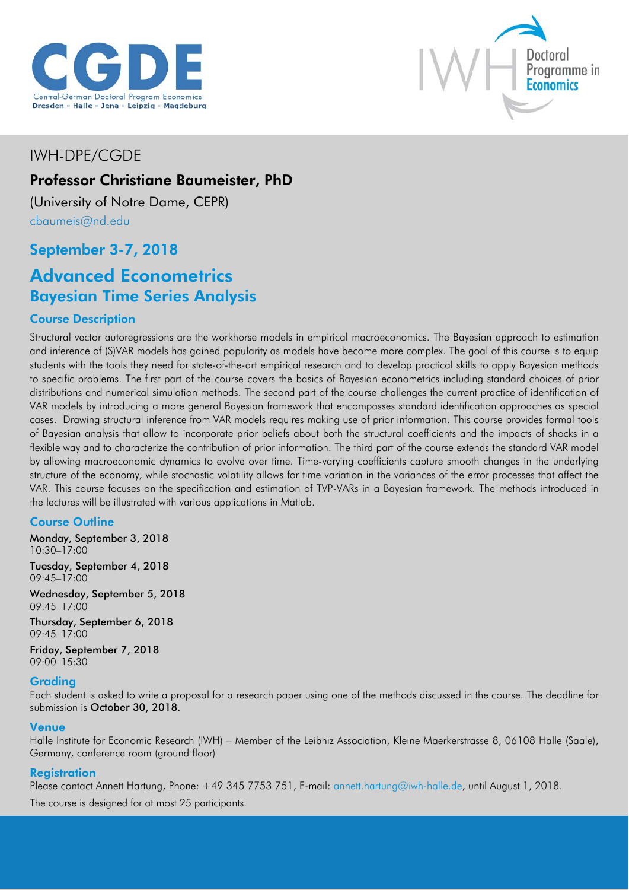



# IWH-DPE/CGDE

# Professor Christiane Baumeister, PhD

(University of Notre Dame, CEPR) [cbaumeis@nd.edu](mailto:cbaumeis@nd.edu)

# September 3-7, 2018

# Advanced Econometrics Bayesian Time Series Analysis

## Course Description

Structural vector autoregressions are the workhorse models in empirical macroeconomics. The Bayesian approach to estimation and inference of (S)VAR models has gained popularity as models have become more complex. The goal of this course is to equip students with the tools they need for state-of-the-art empirical research and to develop practical skills to apply Bayesian methods to specific problems. The first part of the course covers the basics of Bayesian econometrics including standard choices of prior distributions and numerical simulation methods. The second part of the course challenges the current practice of identification of VAR models by introducing a more general Bayesian framework that encompasses standard identification approaches as special cases. Drawing structural inference from VAR models requires making use of prior information. This course provides formal tools of Bayesian analysis that allow to incorporate prior beliefs about both the structural coefficients and the impacts of shocks in a flexible way and to characterize the contribution of prior information. The third part of the course extends the standard VAR model by allowing macroeconomic dynamics to evolve over time. Time-varying coefficients capture smooth changes in the underlying structure of the economy, while stochastic volatility allows for time variation in the variances of the error processes that affect the VAR. This course focuses on the specification and estimation of TVP-VARs in a Bayesian framework. The methods introduced in the lectures will be illustrated with various applications in Matlab.

## Course Outline

Monday, September 3, 2018 10:30–17:00

Tuesday, September 4, 2018 09:45–17:00

Wednesday, September 5, 2018 09:45–17:00

Thursday, September 6, 2018 09:45–17:00

Friday, September 7, 2018 09:00–15:30

## Grading

Each student is asked to write a proposal for a research paper using one of the methods discussed in the course. The deadline for submission is October 30, 2018.

#### Venue

Halle Institute for Economic Research (IWH) – Member of the Leibniz Association, Kleine Maerkerstrasse 8, 06108 Halle (Saale), Germany, conference room (ground floor)

## **Registration**

Please contact Annett Hartung, Phone: +49 345 7753 751, E-mail: [annett.hartung@iwh-halle.de,](mailto:annett.hartung@iwh-halle.de) until August 1, 2018.

The course is designed for at most 25 participants.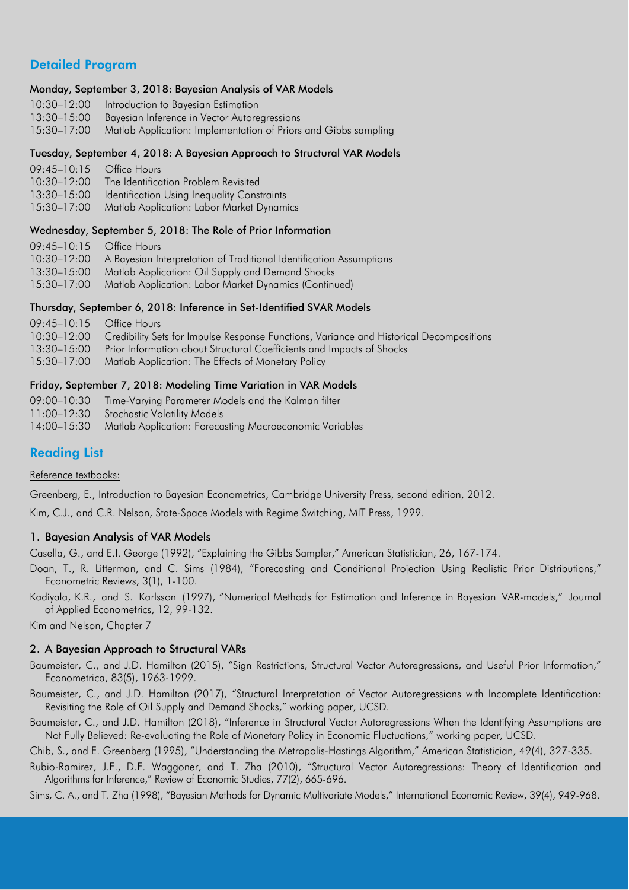## Detailed Program

#### Monday, September 3, 2018: Bayesian Analysis of VAR Models

| 10:30-12:00 Introduction to Bayesian Estimation                             |
|-----------------------------------------------------------------------------|
| 13:30-15:00 Bayesian Inference in Vector Autoregressions                    |
| 15:30-17:00 Matlab Application: Implementation of Priors and Gibbs sampling |

#### Tuesday, September 4, 2018: A Bayesian Approach to Structural VAR Models

| $09:45-10:15$ Office Hours |                                             |
|----------------------------|---------------------------------------------|
| $10:30 - 12:00$            | The Identification Problem Revisited        |
| $13:30 - 15:00$            | Identification Using Inequality Constraints |
| $15:30 - 17:00$            | Matlab Application: Labor Market Dynamics   |
|                            |                                             |

#### Wednesday, September 5, 2018: The Role of Prior Information

| $09:45-10:15$ Office Hours |                                                                                 |
|----------------------------|---------------------------------------------------------------------------------|
|                            | 10:30-12:00 A Bayesian Interpretation of Traditional Identification Assumptions |
| 13:30–15:00                | Matlab Application: Oil Supply and Demand Shocks                                |
| $15:30 - 17:00$            | Matlab Application: Labor Market Dynamics (Continued)                           |

#### Thursday, September 6, 2018: Inference in Set-Identified SVAR Models

| 09:45-10:15 Office Hours |                                                                                                     |
|--------------------------|-----------------------------------------------------------------------------------------------------|
|                          | 10:30-12:00 Credibility Sets for Impulse Response Functions, Variance and Historical Decompositions |
|                          | 13:30–15:00 Prior Information about Structural Coefficients and Impacts of Shocks                   |
|                          | 15:30-17:00 Matlab Application: The Effects of Monetary Policy                                      |

#### Friday, September 7, 2018: Modeling Time Variation in VAR Models

| 09:00-10:30 Time-Varying Parameter Models and the Kalman filter     |
|---------------------------------------------------------------------|
| 11:00-12:30 Stochastic Volatility Models                            |
| 14:00-15:30 Matlab Application: Forecasting Macroeconomic Variables |

## Reading List

Reference textbooks:

Greenberg, E., Introduction to Bayesian Econometrics, Cambridge University Press, second edition, 2012.

Kim, C.J., and C.R. Nelson, State-Space Models with Regime Switching, MIT Press, 1999.

#### 1. Bayesian Analysis of VAR Models

Casella, G., and E.I. George (1992), "Explaining the Gibbs Sampler," American Statistician, 26, 167-174.

- Doan, T., R. Litterman, and C. Sims (1984), "Forecasting and Conditional Projection Using Realistic Prior Distributions," Econometric Reviews, 3(1), 1-100.
- Kadiyala, K.R., and S. Karlsson (1997), "Numerical Methods for Estimation and Inference in Bayesian VAR-models," Journal of Applied Econometrics, 12, 99-132.

Kim and Nelson, Chapter 7

#### 2. A Bayesian Approach to Structural VARs

- Baumeister, C., and J.D. Hamilton (2015), "Sign Restrictions, Structural Vector Autoregressions, and Useful Prior Information," Econometrica, 83(5), 1963-1999.
- Baumeister, C., and J.D. Hamilton (2017), "Structural Interpretation of Vector Autoregressions with Incomplete Identification: Revisiting the Role of Oil Supply and Demand Shocks," working paper, UCSD.
- Baumeister, C., and J.D. Hamilton (2018), "Inference in Structural Vector Autoregressions When the Identifying Assumptions are Not Fully Believed: Re-evaluating the Role of Monetary Policy in Economic Fluctuations," working paper, UCSD.

Chib, S., and E. Greenberg (1995), "Understanding the Metropolis-Hastings Algorithm," American Statistician, 49(4), 327-335.

Rubio-Ramirez, J.F., D.F. Waggoner, and T. Zha (2010), "Structural Vector Autoregressions: Theory of Identification and Algorithms for Inference," Review of Economic Studies, 77(2), 665-696.

Sims, C. A., and T. Zha (1998), "Bayesian Methods for Dynamic Multivariate Models," International Economic Review, 39(4), 949-968.